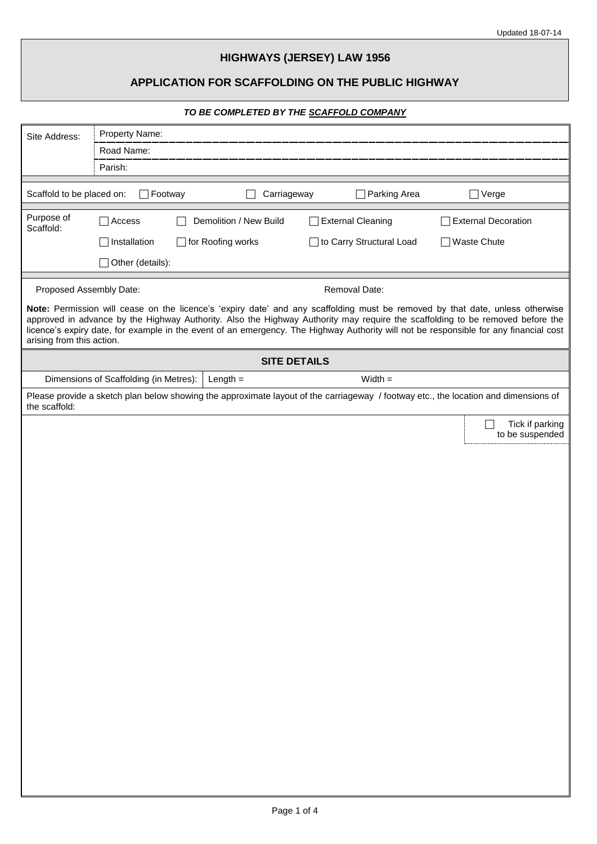# **HIGHWAYS (JERSEY) LAW 1956**

# **APPLICATION FOR SCAFFOLDING ON THE PUBLIC HIGHWAY**

# *TO BE COMPLETED BY THE SCAFFOLD COMPANY*

| Site Address:             | Property Name:                         |                        |                          |                                                                                                                                                                                                                                                                                                                                                                                                         |  |
|---------------------------|----------------------------------------|------------------------|--------------------------|---------------------------------------------------------------------------------------------------------------------------------------------------------------------------------------------------------------------------------------------------------------------------------------------------------------------------------------------------------------------------------------------------------|--|
|                           | Road Name:                             |                        |                          |                                                                                                                                                                                                                                                                                                                                                                                                         |  |
|                           | Parish:                                |                        |                          |                                                                                                                                                                                                                                                                                                                                                                                                         |  |
| Scaffold to be placed on: | $\Box$ Footway                         | Carriageway            | Parking Area             | Verge                                                                                                                                                                                                                                                                                                                                                                                                   |  |
| Purpose of<br>Scaffold:   | Access                                 | Demolition / New Build | <b>External Cleaning</b> | <b>External Decoration</b>                                                                                                                                                                                                                                                                                                                                                                              |  |
|                           | Installation                           | for Roofing works      | to Carry Structural Load | <b>Waste Chute</b>                                                                                                                                                                                                                                                                                                                                                                                      |  |
|                           | Other (details):                       |                        |                          |                                                                                                                                                                                                                                                                                                                                                                                                         |  |
| Proposed Assembly Date:   |                                        |                        | Removal Date:            |                                                                                                                                                                                                                                                                                                                                                                                                         |  |
| arising from this action. |                                        |                        |                          | Note: Permission will cease on the licence's 'expiry date' and any scaffolding must be removed by that date, unless otherwise<br>approved in advance by the Highway Authority. Also the Highway Authority may require the scaffolding to be removed before the<br>licence's expiry date, for example in the event of an emergency. The Highway Authority will not be responsible for any financial cost |  |
|                           |                                        | <b>SITE DETAILS</b>    |                          |                                                                                                                                                                                                                                                                                                                                                                                                         |  |
|                           | Dimensions of Scaffolding (in Metres): | Length $=$             | $Width =$                |                                                                                                                                                                                                                                                                                                                                                                                                         |  |
| the scaffold:             |                                        |                        |                          | Please provide a sketch plan below showing the approximate layout of the carriageway / footway etc., the location and dimensions of                                                                                                                                                                                                                                                                     |  |
|                           |                                        |                        |                          | Tick if parking                                                                                                                                                                                                                                                                                                                                                                                         |  |
|                           |                                        |                        |                          | to be suspended                                                                                                                                                                                                                                                                                                                                                                                         |  |
|                           |                                        |                        |                          |                                                                                                                                                                                                                                                                                                                                                                                                         |  |
|                           |                                        |                        |                          |                                                                                                                                                                                                                                                                                                                                                                                                         |  |
|                           |                                        |                        |                          |                                                                                                                                                                                                                                                                                                                                                                                                         |  |
|                           |                                        |                        |                          |                                                                                                                                                                                                                                                                                                                                                                                                         |  |
|                           |                                        |                        |                          |                                                                                                                                                                                                                                                                                                                                                                                                         |  |
|                           |                                        |                        |                          |                                                                                                                                                                                                                                                                                                                                                                                                         |  |
|                           |                                        |                        |                          |                                                                                                                                                                                                                                                                                                                                                                                                         |  |
|                           |                                        |                        |                          |                                                                                                                                                                                                                                                                                                                                                                                                         |  |
|                           |                                        |                        |                          |                                                                                                                                                                                                                                                                                                                                                                                                         |  |
|                           |                                        |                        |                          |                                                                                                                                                                                                                                                                                                                                                                                                         |  |
|                           |                                        |                        |                          |                                                                                                                                                                                                                                                                                                                                                                                                         |  |
|                           |                                        |                        |                          |                                                                                                                                                                                                                                                                                                                                                                                                         |  |
|                           |                                        |                        |                          |                                                                                                                                                                                                                                                                                                                                                                                                         |  |
|                           |                                        |                        |                          |                                                                                                                                                                                                                                                                                                                                                                                                         |  |
|                           |                                        |                        |                          |                                                                                                                                                                                                                                                                                                                                                                                                         |  |
|                           |                                        |                        |                          |                                                                                                                                                                                                                                                                                                                                                                                                         |  |
|                           |                                        |                        |                          |                                                                                                                                                                                                                                                                                                                                                                                                         |  |
|                           |                                        |                        |                          |                                                                                                                                                                                                                                                                                                                                                                                                         |  |
|                           |                                        |                        |                          |                                                                                                                                                                                                                                                                                                                                                                                                         |  |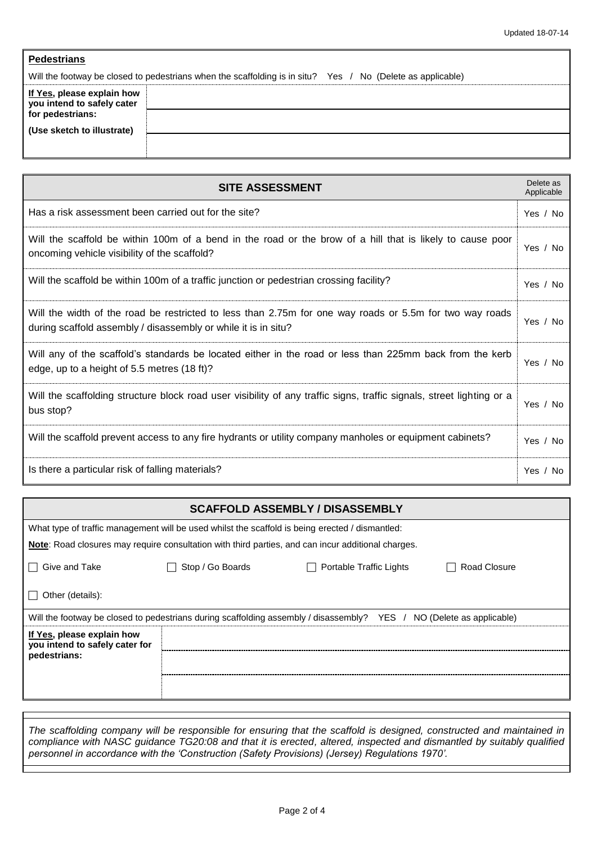|--|

Will the footway be closed to pedestrians when the scaffolding is in situ? Yes / No (Delete as applicable)

| If Yes, please explain how<br>you intend to safely cater |  |
|----------------------------------------------------------|--|
| for pedestrians:                                         |  |
| (Use sketch to illustrate)                               |  |
|                                                          |  |
|                                                          |  |

| <b>SITE ASSESSMENT</b>                                                                                                                                                    | Delete as<br>Applicable |
|---------------------------------------------------------------------------------------------------------------------------------------------------------------------------|-------------------------|
| Has a risk assessment been carried out for the site?                                                                                                                      | Yes / No                |
| Will the scaffold be within 100m of a bend in the road or the brow of a hill that is likely to cause poor<br>oncoming vehicle visibility of the scaffold?                 | Yes / No                |
| Will the scaffold be within 100m of a traffic junction or pedestrian crossing facility?                                                                                   | Yes / No                |
| Will the width of the road be restricted to less than 2.75m for one way roads or 5.5m for two way roads<br>during scaffold assembly / disassembly or while it is in situ? | Yes / No                |
| Will any of the scaffold's standards be located either in the road or less than 225mm back from the kerb<br>edge, up to a height of 5.5 metres (18 ft)?                   | Yes / No                |
| Will the scaffolding structure block road user visibility of any traffic signs, traffic signals, street lighting or a<br>bus stop?                                        | Yes / No                |
| Will the scaffold prevent access to any fire hydrants or utility company manholes or equipment cabinets?                                                                  | Yes / No                |
| Is there a particular risk of falling materials?                                                                                                                          | Yes $/$<br>No           |

# **SCAFFOLD ASSEMBLY / DISASSEMBLY**  What type of traffic management will be used whilst the scaffold is being erected / dismantled: **Note**: Road closures may require consultation with third parties, and can incur additional charges. Give and Take **Stop / Go Boards Stop / Go Boards Contable Traffic Lights Contable Traffic Lights Road Closure**  $\Box$  Other (details): Will the footway be closed to pedestrians during scaffolding assembly / disassembly? YES / NO (Delete as applicable) **If Yes, please explain how you intend to safely cater for pedestrians:**

*The scaffolding company will be responsible for ensuring that the scaffold is designed, constructed and maintained in compliance with NASC guidance TG20:08 and that it is erected, altered, inspected and dismantled by suitably qualified personnel in accordance with the 'Construction (Safety Provisions) (Jersey) Regulations 1970'.*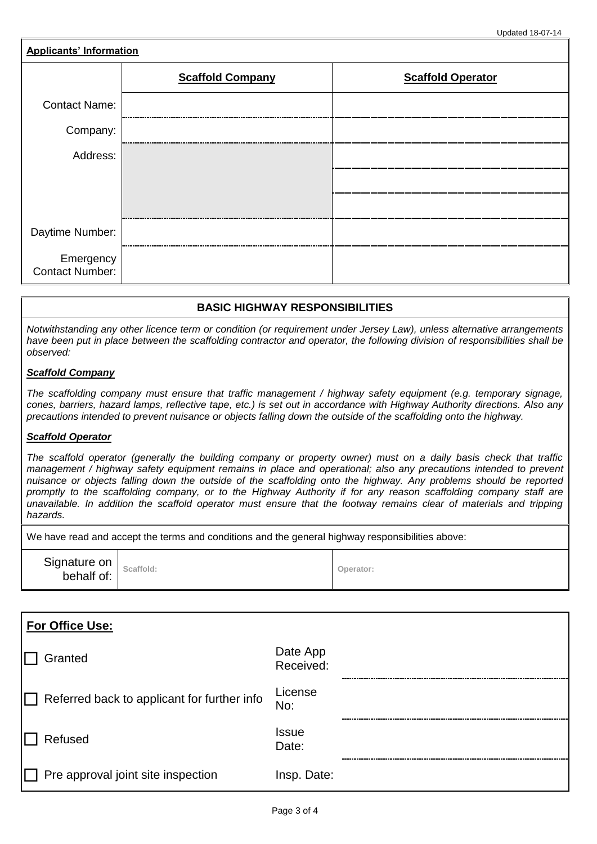| <b>Applicants' Information</b>      |                         |                          |  |  |
|-------------------------------------|-------------------------|--------------------------|--|--|
|                                     | <b>Scaffold Company</b> | <b>Scaffold Operator</b> |  |  |
| <b>Contact Name:</b>                |                         |                          |  |  |
| Company:                            |                         |                          |  |  |
| Address:                            |                         |                          |  |  |
|                                     |                         |                          |  |  |
|                                     |                         |                          |  |  |
| Daytime Number:                     |                         |                          |  |  |
| Emergency<br><b>Contact Number:</b> |                         |                          |  |  |

# **BASIC HIGHWAY RESPONSIBILITIES**

*Notwithstanding any other licence term or condition (or requirement under Jersey Law), unless alternative arrangements have been put in place between the scaffolding contractor and operator, the following division of responsibilities shall be observed:*

#### *Scaffold Company*

*The scaffolding company must ensure that traffic management / highway safety equipment (e.g. temporary signage, cones, barriers, hazard lamps, reflective tape, etc.) is set out in accordance with Highway Authority directions. Also any precautions intended to prevent nuisance or objects falling down the outside of the scaffolding onto the highway.*

#### *Scaffold Operator*

*The scaffold operator (generally the building company or property owner) must on a daily basis check that traffic management / highway safety equipment remains in place and operational; also any precautions intended to prevent nuisance or objects falling down the outside of the scaffolding onto the highway. Any problems should be reported promptly to the scaffolding company, or to the Highway Authority if for any reason scaffolding company staff are unavailable. In addition the scaffold operator must ensure that the footway remains clear of materials and tripping hazards.*

We have read and accept the terms and conditions and the general highway responsibilities above:

| Signature on Scaffold:<br>behalf of: | Operator: |
|--------------------------------------|-----------|
|--------------------------------------|-----------|

| For Office Use:                             |                       |  |
|---------------------------------------------|-----------------------|--|
| Granted                                     | Date App<br>Received: |  |
| Referred back to applicant for further info | License<br>No:        |  |
| Refused                                     | <b>Issue</b><br>Date: |  |
| Pre approval joint site inspection          | Insp. Date:           |  |